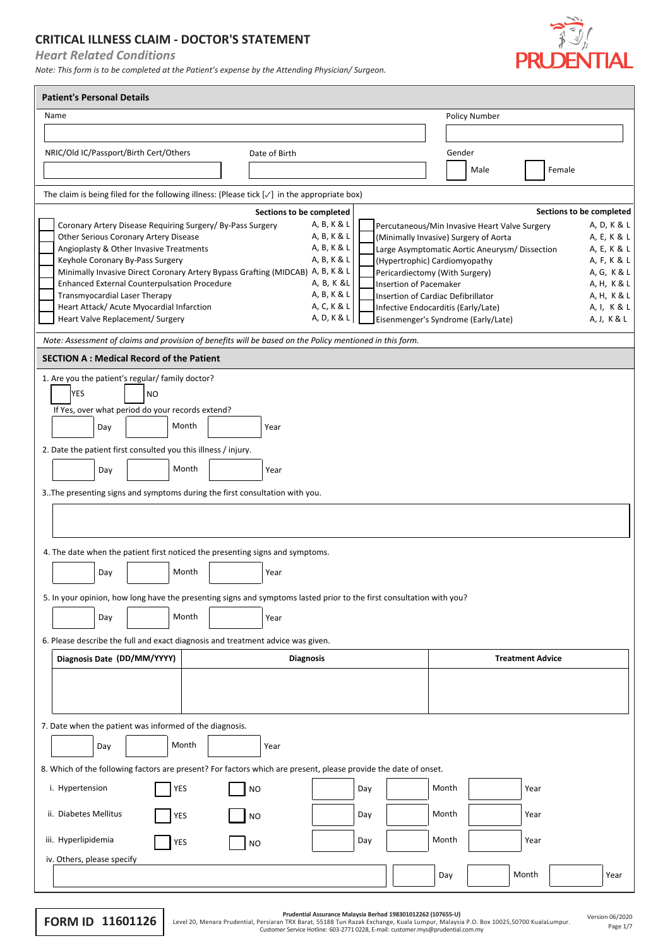## **CRITICAL ILLNESS CLAIM - DOCTOR'S STATEMENT**

*Heart Related Conditions*

*Note: This form is to be completed at the Patient's expense by the Attending Physician/ Surgeon.*



| <b>Patient's Personal Details</b>                                                                                    |                                                                                                               |  |  |  |  |  |
|----------------------------------------------------------------------------------------------------------------------|---------------------------------------------------------------------------------------------------------------|--|--|--|--|--|
| Name                                                                                                                 | Policy Number                                                                                                 |  |  |  |  |  |
|                                                                                                                      |                                                                                                               |  |  |  |  |  |
| NRIC/Old IC/Passport/Birth Cert/Others<br>Date of Birth                                                              | Gender                                                                                                        |  |  |  |  |  |
|                                                                                                                      | Female<br>Male                                                                                                |  |  |  |  |  |
| The claim is being filed for the following illness: (Please tick $[\sqrt{}]$ in the appropriate box)                 |                                                                                                               |  |  |  |  |  |
| Sections to be completed                                                                                             | Sections to be completed                                                                                      |  |  |  |  |  |
| A, B, K & L<br>Coronary Artery Disease Requiring Surgery/ By-Pass Surgery                                            | A, D, K & L<br>Percutaneous/Min Invasive Heart Valve Surgery                                                  |  |  |  |  |  |
| Other Serious Coronary Artery Disease<br>A, B, K & L                                                                 | A, E, K & L<br>(Minimally Invasive) Surgery of Aorta                                                          |  |  |  |  |  |
| A, B, K & L<br>Angioplasty & Other Invasive Treatments<br>Keyhole Coronary By-Pass Surgery<br>A, B, K & L            | A, E, K & L<br>Large Asymptomatic Aortic Aneurysm/ Dissection<br>(Hypertrophic) Cardiomyopathy<br>A, F, K & L |  |  |  |  |  |
| Minimally Invasive Direct Coronary Artery Bypass Grafting (MIDCAB) A, B, K & L                                       | Pericardiectomy (With Surgery)<br>A, G, K & L                                                                 |  |  |  |  |  |
| Enhanced External Counterpulsation Procedure<br>A, B, K &L                                                           | <b>Insertion of Pacemaker</b><br>A, H, K & L                                                                  |  |  |  |  |  |
| A, B, K & L<br>Transmyocardial Laser Therapy<br>Heart Attack/ Acute Myocardial Infarction<br>A, C, K & L             | A, H, K & L<br>Insertion of Cardiac Defibrillator<br>Infective Endocarditis (Early/Late)<br>A, I, K & L       |  |  |  |  |  |
| A, D, K & L<br>Heart Valve Replacement/ Surgery                                                                      | Eisenmenger's Syndrome (Early/Late)<br>A, J, K & L                                                            |  |  |  |  |  |
| Note: Assessment of claims and provision of benefits will be based on the Policy mentioned in this form.             |                                                                                                               |  |  |  |  |  |
| <b>SECTION A : Medical Record of the Patient</b>                                                                     |                                                                                                               |  |  |  |  |  |
| 1. Are you the patient's regular/ family doctor?                                                                     |                                                                                                               |  |  |  |  |  |
| <b>YES</b><br><b>NO</b>                                                                                              |                                                                                                               |  |  |  |  |  |
| If Yes, over what period do your records extend?                                                                     |                                                                                                               |  |  |  |  |  |
| Month<br>Day<br>Year                                                                                                 |                                                                                                               |  |  |  |  |  |
|                                                                                                                      |                                                                                                               |  |  |  |  |  |
| 2. Date the patient first consulted you this illness / injury.                                                       |                                                                                                               |  |  |  |  |  |
| Month<br>Day<br>Year                                                                                                 |                                                                                                               |  |  |  |  |  |
| 3. The presenting signs and symptoms during the first consultation with you.                                         |                                                                                                               |  |  |  |  |  |
|                                                                                                                      |                                                                                                               |  |  |  |  |  |
|                                                                                                                      |                                                                                                               |  |  |  |  |  |
| 4. The date when the patient first noticed the presenting signs and symptoms.                                        |                                                                                                               |  |  |  |  |  |
|                                                                                                                      |                                                                                                               |  |  |  |  |  |
| Month<br>Year<br>Day                                                                                                 |                                                                                                               |  |  |  |  |  |
| 5. In your opinion, how long have the presenting signs and symptoms lasted prior to the first consultation with you? |                                                                                                               |  |  |  |  |  |
| Month<br>Day<br>Year                                                                                                 |                                                                                                               |  |  |  |  |  |
|                                                                                                                      |                                                                                                               |  |  |  |  |  |
| 6. Please describe the full and exact diagnosis and treatment advice was given.                                      |                                                                                                               |  |  |  |  |  |
| Diagnosis Date (DD/MM/YYYY)<br><b>Diagnosis</b>                                                                      | <b>Treatment Advice</b>                                                                                       |  |  |  |  |  |
|                                                                                                                      |                                                                                                               |  |  |  |  |  |
|                                                                                                                      |                                                                                                               |  |  |  |  |  |
| 7. Date when the patient was informed of the diagnosis.                                                              |                                                                                                               |  |  |  |  |  |
|                                                                                                                      |                                                                                                               |  |  |  |  |  |
| Month<br>Day<br>Year                                                                                                 |                                                                                                               |  |  |  |  |  |
| 8. Which of the following factors are present? For factors which are present, please provide the date of onset.      |                                                                                                               |  |  |  |  |  |
| i. Hypertension<br>YES<br><b>NO</b>                                                                                  | Month<br>Day<br>Year                                                                                          |  |  |  |  |  |
| ii. Diabetes Mellitus                                                                                                | Month                                                                                                         |  |  |  |  |  |
| YES<br>NO                                                                                                            | Day<br>Year                                                                                                   |  |  |  |  |  |
| iii. Hyperlipidemia<br>YES<br><b>NO</b>                                                                              | Month<br>Day<br>Year                                                                                          |  |  |  |  |  |
| iv. Others, please specify                                                                                           |                                                                                                               |  |  |  |  |  |
|                                                                                                                      | Month<br>Day<br>Year                                                                                          |  |  |  |  |  |

Prudential Assurance Malaysia Berhad 198301012262 (107655-U)<br>Custome TRX Barat, 51388 Tun Razak Exchan Incense and Harat Researt of Alage 1/7<br>Customer Service Hotline: 603-2771 0228, E-mail: customer.mys@prudential.com.my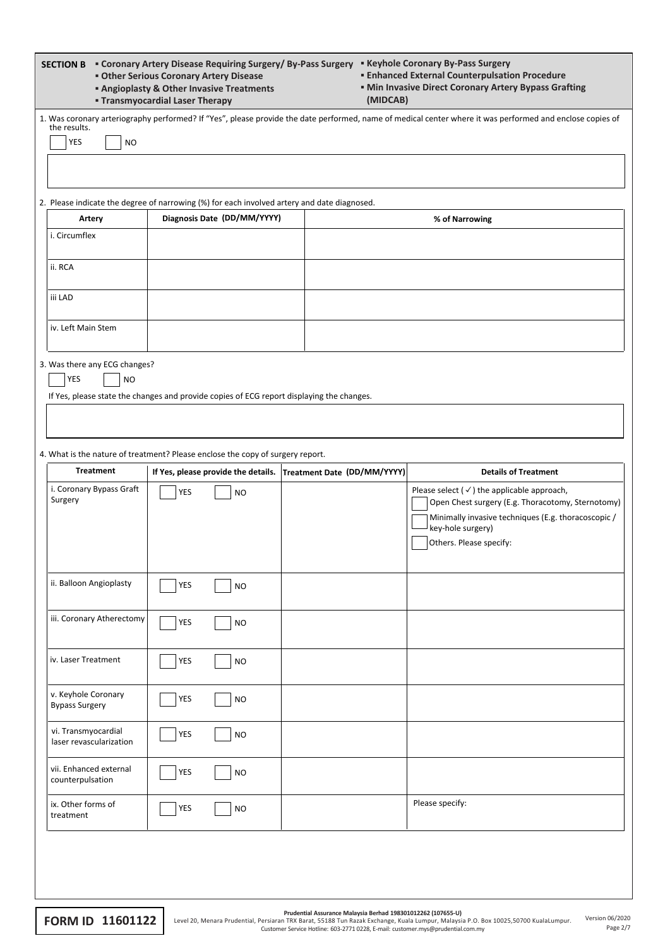| " Coronary Artery Disease Requiring Surgery/ By-Pass Surgery " Keyhole Coronary By-Pass Surgery<br><b>SECTION B</b><br><b>Enhanced External Counterpulsation Procedure</b><br><b>• Other Serious Coronary Artery Disease</b><br><b>• Min Invasive Direct Coronary Artery Bypass Grafting</b><br><b>Angioplasty &amp; Other Invasive Treatments</b><br><b>- Transmyocardial Laser Therapy</b><br>(MIDCAB) |            |                             |                                                                 |                                                                                                                                                                                                                   |  |  |
|----------------------------------------------------------------------------------------------------------------------------------------------------------------------------------------------------------------------------------------------------------------------------------------------------------------------------------------------------------------------------------------------------------|------------|-----------------------------|-----------------------------------------------------------------|-------------------------------------------------------------------------------------------------------------------------------------------------------------------------------------------------------------------|--|--|
| 1. Was coronary arteriography performed? If "Yes", please provide the date performed, name of medical center where it was performed and enclose copies of<br>the results.                                                                                                                                                                                                                                |            |                             |                                                                 |                                                                                                                                                                                                                   |  |  |
| <b>YES</b><br><b>NO</b>                                                                                                                                                                                                                                                                                                                                                                                  |            |                             |                                                                 |                                                                                                                                                                                                                   |  |  |
|                                                                                                                                                                                                                                                                                                                                                                                                          |            |                             |                                                                 |                                                                                                                                                                                                                   |  |  |
|                                                                                                                                                                                                                                                                                                                                                                                                          |            |                             |                                                                 |                                                                                                                                                                                                                   |  |  |
| 2. Please indicate the degree of narrowing (%) for each involved artery and date diagnosed.                                                                                                                                                                                                                                                                                                              |            |                             |                                                                 |                                                                                                                                                                                                                   |  |  |
| Artery<br>i. Circumflex                                                                                                                                                                                                                                                                                                                                                                                  |            | Diagnosis Date (DD/MM/YYYY) |                                                                 | % of Narrowing                                                                                                                                                                                                    |  |  |
|                                                                                                                                                                                                                                                                                                                                                                                                          |            |                             |                                                                 |                                                                                                                                                                                                                   |  |  |
| ii. RCA                                                                                                                                                                                                                                                                                                                                                                                                  |            |                             |                                                                 |                                                                                                                                                                                                                   |  |  |
| iii LAD                                                                                                                                                                                                                                                                                                                                                                                                  |            |                             |                                                                 |                                                                                                                                                                                                                   |  |  |
| iv. Left Main Stem                                                                                                                                                                                                                                                                                                                                                                                       |            |                             |                                                                 |                                                                                                                                                                                                                   |  |  |
| 3. Was there any ECG changes?<br>YES<br><b>NO</b><br>If Yes, please state the changes and provide copies of ECG report displaying the changes.                                                                                                                                                                                                                                                           |            |                             |                                                                 |                                                                                                                                                                                                                   |  |  |
|                                                                                                                                                                                                                                                                                                                                                                                                          |            |                             |                                                                 |                                                                                                                                                                                                                   |  |  |
| 4. What is the nature of treatment? Please enclose the copy of surgery report.                                                                                                                                                                                                                                                                                                                           |            |                             |                                                                 |                                                                                                                                                                                                                   |  |  |
| <b>Treatment</b>                                                                                                                                                                                                                                                                                                                                                                                         |            |                             | If Yes, please provide the details. Treatment Date (DD/MM/YYYY) | <b>Details of Treatment</b>                                                                                                                                                                                       |  |  |
| i. Coronary Bypass Graft<br>Surgery                                                                                                                                                                                                                                                                                                                                                                      | <b>YES</b> | <b>NO</b>                   |                                                                 | Please select $(\checkmark)$ the applicable approach,<br>Open Chest surgery (E.g. Thoracotomy, Sternotomy)<br>Minimally invasive techniques (E.g. thoracoscopic /<br>key-hole surgery)<br>Others. Please specify: |  |  |
|                                                                                                                                                                                                                                                                                                                                                                                                          |            |                             |                                                                 |                                                                                                                                                                                                                   |  |  |
| ii. Balloon Angioplasty                                                                                                                                                                                                                                                                                                                                                                                  | YES        | <b>NO</b>                   |                                                                 |                                                                                                                                                                                                                   |  |  |
| iii. Coronary Atherectomy                                                                                                                                                                                                                                                                                                                                                                                | YES        | <b>NO</b>                   |                                                                 |                                                                                                                                                                                                                   |  |  |
| iv. Laser Treatment                                                                                                                                                                                                                                                                                                                                                                                      | YES        | <b>NO</b>                   |                                                                 |                                                                                                                                                                                                                   |  |  |
| v. Keyhole Coronary<br><b>Bypass Surgery</b>                                                                                                                                                                                                                                                                                                                                                             | YES        | <b>NO</b>                   |                                                                 |                                                                                                                                                                                                                   |  |  |
| vi. Transmyocardial<br>laser revascularization                                                                                                                                                                                                                                                                                                                                                           | YES        | <b>NO</b>                   |                                                                 |                                                                                                                                                                                                                   |  |  |
| vii. Enhanced external<br>counterpulsation                                                                                                                                                                                                                                                                                                                                                               | YES        | <b>NO</b>                   |                                                                 |                                                                                                                                                                                                                   |  |  |
| ix. Other forms of<br>treatment                                                                                                                                                                                                                                                                                                                                                                          | YES        | <b>NO</b>                   |                                                                 | Please specify:                                                                                                                                                                                                   |  |  |
|                                                                                                                                                                                                                                                                                                                                                                                                          |            |                             |                                                                 |                                                                                                                                                                                                                   |  |  |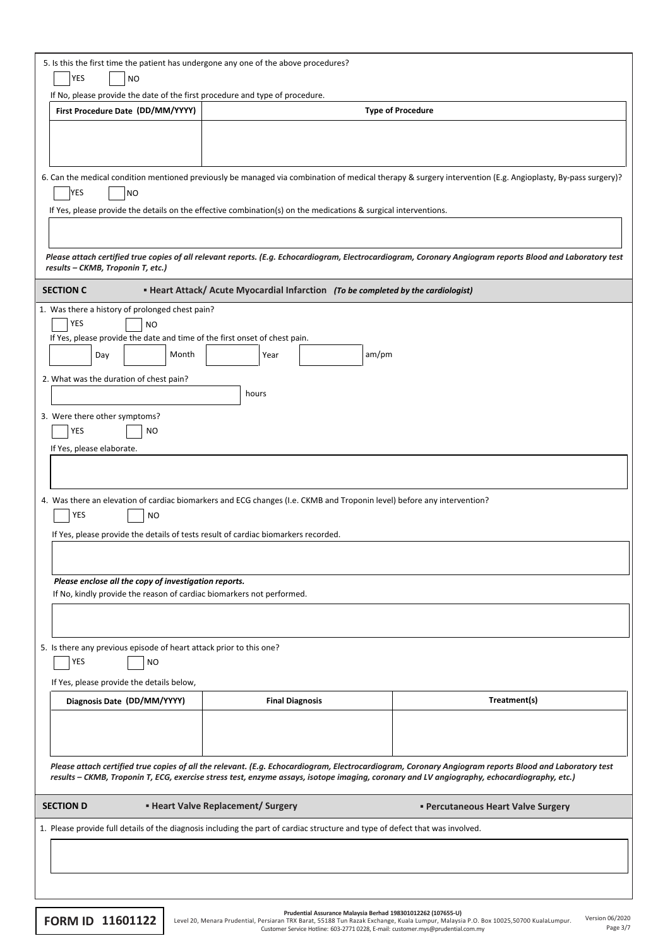| 5. Is this the first time the patient has undergone any one of the above procedures?<br>YES<br>NO                                                                   |                                                                                                                                                                            |                                                                                                                                                             |  |  |  |
|---------------------------------------------------------------------------------------------------------------------------------------------------------------------|----------------------------------------------------------------------------------------------------------------------------------------------------------------------------|-------------------------------------------------------------------------------------------------------------------------------------------------------------|--|--|--|
| If No, please provide the date of the first procedure and type of procedure.                                                                                        |                                                                                                                                                                            |                                                                                                                                                             |  |  |  |
| First Procedure Date (DD/MM/YYYY)                                                                                                                                   | <b>Type of Procedure</b>                                                                                                                                                   |                                                                                                                                                             |  |  |  |
|                                                                                                                                                                     |                                                                                                                                                                            |                                                                                                                                                             |  |  |  |
|                                                                                                                                                                     |                                                                                                                                                                            |                                                                                                                                                             |  |  |  |
|                                                                                                                                                                     |                                                                                                                                                                            |                                                                                                                                                             |  |  |  |
| YES<br><b>NO</b>                                                                                                                                                    |                                                                                                                                                                            | 6. Can the medical condition mentioned previously be managed via combination of medical therapy & surgery intervention (E.g. Angioplasty, By-pass surgery)? |  |  |  |
|                                                                                                                                                                     | If Yes, please provide the details on the effective combination(s) on the medications & surgical interventions.                                                            |                                                                                                                                                             |  |  |  |
|                                                                                                                                                                     |                                                                                                                                                                            |                                                                                                                                                             |  |  |  |
|                                                                                                                                                                     |                                                                                                                                                                            |                                                                                                                                                             |  |  |  |
| results - CKMB, Troponin T, etc.)                                                                                                                                   |                                                                                                                                                                            | Please attach certified true copies of all relevant reports. (E.g. Echocardiogram, Electrocardiogram, Coronary Angiogram reports Blood and Laboratory test  |  |  |  |
| <b>SECTION C</b>                                                                                                                                                    | • Heart Attack/ Acute Myocardial Infarction (To be completed by the cardiologist)                                                                                          |                                                                                                                                                             |  |  |  |
| 1. Was there a history of prolonged chest pain?                                                                                                                     |                                                                                                                                                                            |                                                                                                                                                             |  |  |  |
| YES<br><b>NO</b>                                                                                                                                                    |                                                                                                                                                                            |                                                                                                                                                             |  |  |  |
| If Yes, please provide the date and time of the first onset of chest pain.                                                                                          |                                                                                                                                                                            |                                                                                                                                                             |  |  |  |
| Month<br>Day                                                                                                                                                        | am/pm<br>Year                                                                                                                                                              |                                                                                                                                                             |  |  |  |
| 2. What was the duration of chest pain?                                                                                                                             |                                                                                                                                                                            |                                                                                                                                                             |  |  |  |
|                                                                                                                                                                     | hours                                                                                                                                                                      |                                                                                                                                                             |  |  |  |
| 3. Were there other symptoms?                                                                                                                                       |                                                                                                                                                                            |                                                                                                                                                             |  |  |  |
| YES<br><b>NO</b>                                                                                                                                                    |                                                                                                                                                                            |                                                                                                                                                             |  |  |  |
| If Yes, please elaborate.                                                                                                                                           |                                                                                                                                                                            |                                                                                                                                                             |  |  |  |
|                                                                                                                                                                     |                                                                                                                                                                            |                                                                                                                                                             |  |  |  |
|                                                                                                                                                                     |                                                                                                                                                                            |                                                                                                                                                             |  |  |  |
| YES<br><b>NO</b>                                                                                                                                                    | 4. Was there an elevation of cardiac biomarkers and ECG changes (I.e. CKMB and Troponin level) before any intervention?                                                    |                                                                                                                                                             |  |  |  |
| If Yes, please provide the details of tests result of cardiac biomarkers recorded.                                                                                  |                                                                                                                                                                            |                                                                                                                                                             |  |  |  |
|                                                                                                                                                                     |                                                                                                                                                                            |                                                                                                                                                             |  |  |  |
|                                                                                                                                                                     |                                                                                                                                                                            |                                                                                                                                                             |  |  |  |
| Please enclose all the copy of investigation reports.<br>If No, kindly provide the reason of cardiac biomarkers not performed.                                      |                                                                                                                                                                            |                                                                                                                                                             |  |  |  |
|                                                                                                                                                                     |                                                                                                                                                                            |                                                                                                                                                             |  |  |  |
|                                                                                                                                                                     |                                                                                                                                                                            |                                                                                                                                                             |  |  |  |
|                                                                                                                                                                     |                                                                                                                                                                            |                                                                                                                                                             |  |  |  |
| YES<br><b>NO</b>                                                                                                                                                    |                                                                                                                                                                            |                                                                                                                                                             |  |  |  |
|                                                                                                                                                                     |                                                                                                                                                                            |                                                                                                                                                             |  |  |  |
|                                                                                                                                                                     | <b>Final Diagnosis</b>                                                                                                                                                     | Treatment(s)                                                                                                                                                |  |  |  |
|                                                                                                                                                                     |                                                                                                                                                                            |                                                                                                                                                             |  |  |  |
|                                                                                                                                                                     |                                                                                                                                                                            |                                                                                                                                                             |  |  |  |
|                                                                                                                                                                     |                                                                                                                                                                            |                                                                                                                                                             |  |  |  |
|                                                                                                                                                                     | results - CKMB, Troponin T, ECG, exercise stress test, enzyme assays, isotope imaging, coronary and LV angiography, echocardiography, etc.)                                | Please attach certified true copies of all the relevant. (E.g. Echocardiogram, Electrocardiogram, Coronary Angiogram reports Blood and Laboratory test      |  |  |  |
|                                                                                                                                                                     |                                                                                                                                                                            |                                                                                                                                                             |  |  |  |
|                                                                                                                                                                     |                                                                                                                                                                            |                                                                                                                                                             |  |  |  |
|                                                                                                                                                                     |                                                                                                                                                                            |                                                                                                                                                             |  |  |  |
|                                                                                                                                                                     |                                                                                                                                                                            |                                                                                                                                                             |  |  |  |
|                                                                                                                                                                     |                                                                                                                                                                            |                                                                                                                                                             |  |  |  |
| 5. Is there any previous episode of heart attack prior to this one?<br>If Yes, please provide the details below,<br>Diagnosis Date (DD/MM/YYYY)<br><b>SECTION D</b> | <b>E</b> Heart Valve Replacement/ Surgery<br>1. Please provide full details of the diagnosis including the part of cardiac structure and type of defect that was involved. | <b>• Percutaneous Heart Valve Surgery</b>                                                                                                                   |  |  |  |

EORM ID 11601122 Level 20, Menara Prudential, Persiana TRX Barat, 55188 Tun Razak Exchange, Kuala Lumpur, Malaysia P.O. Box 10025,50700 KualaLumpur. Version 06/2020 Pr**udential Assurance Malaysia Berhad 198301012262 (107655-U)**<br>Level 20, Menara Prudential, Persiaran TRX Barat, 55188 Tun Razak Exchange, Kuala Lumpur, Malagysia P.O. Box 10025,50700 KualaLumpur.<br>Customer Service Hotline: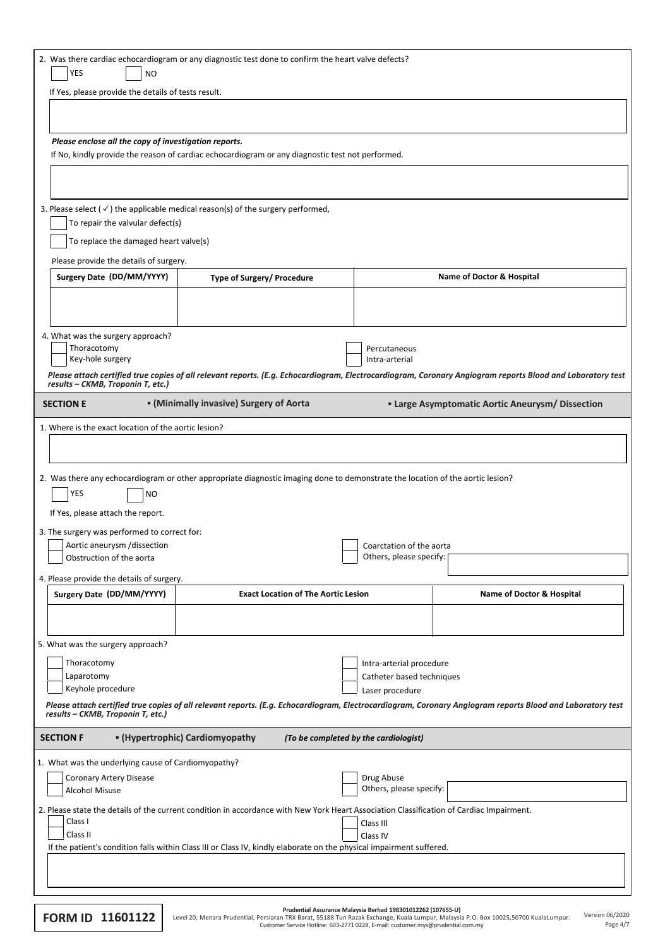|                                                                                                                                                                                                 | 2. Was there cardiac echocardiogram or any diagnostic test done to confirm the heart valve defects?<br>YES<br><b>NO</b>                                    |                                                                                                                                |                                                     |                                                                                                                                                            |  |  |  |
|-------------------------------------------------------------------------------------------------------------------------------------------------------------------------------------------------|------------------------------------------------------------------------------------------------------------------------------------------------------------|--------------------------------------------------------------------------------------------------------------------------------|-----------------------------------------------------|------------------------------------------------------------------------------------------------------------------------------------------------------------|--|--|--|
|                                                                                                                                                                                                 | If Yes, please provide the details of tests result.                                                                                                        |                                                                                                                                |                                                     |                                                                                                                                                            |  |  |  |
|                                                                                                                                                                                                 |                                                                                                                                                            |                                                                                                                                |                                                     |                                                                                                                                                            |  |  |  |
|                                                                                                                                                                                                 |                                                                                                                                                            |                                                                                                                                |                                                     |                                                                                                                                                            |  |  |  |
|                                                                                                                                                                                                 | Please enclose all the copy of investigation reports.                                                                                                      | If No, kindly provide the reason of cardiac echocardiogram or any diagnostic test not performed.                               |                                                     |                                                                                                                                                            |  |  |  |
|                                                                                                                                                                                                 |                                                                                                                                                            |                                                                                                                                |                                                     |                                                                                                                                                            |  |  |  |
|                                                                                                                                                                                                 |                                                                                                                                                            |                                                                                                                                |                                                     |                                                                                                                                                            |  |  |  |
|                                                                                                                                                                                                 |                                                                                                                                                            | 3. Please select ( $\checkmark$ ) the applicable medical reason(s) of the surgery performed,                                   |                                                     |                                                                                                                                                            |  |  |  |
|                                                                                                                                                                                                 | To repair the valvular defect(s)                                                                                                                           |                                                                                                                                |                                                     |                                                                                                                                                            |  |  |  |
|                                                                                                                                                                                                 | To replace the damaged heart valve(s)                                                                                                                      |                                                                                                                                |                                                     |                                                                                                                                                            |  |  |  |
|                                                                                                                                                                                                 | Please provide the details of surgery.<br>Surgery Date (DD/MM/YYYY)                                                                                        | Type of Surgery/ Procedure                                                                                                     |                                                     | Name of Doctor & Hospital                                                                                                                                  |  |  |  |
|                                                                                                                                                                                                 |                                                                                                                                                            |                                                                                                                                |                                                     |                                                                                                                                                            |  |  |  |
|                                                                                                                                                                                                 |                                                                                                                                                            |                                                                                                                                |                                                     |                                                                                                                                                            |  |  |  |
|                                                                                                                                                                                                 | 4. What was the surgery approach?                                                                                                                          |                                                                                                                                |                                                     |                                                                                                                                                            |  |  |  |
|                                                                                                                                                                                                 | Thoracotomy<br>Key-hole surgery                                                                                                                            |                                                                                                                                | Percutaneous<br>Intra-arterial                      |                                                                                                                                                            |  |  |  |
|                                                                                                                                                                                                 |                                                                                                                                                            |                                                                                                                                |                                                     | Please attach certified true copies of all relevant reports. (E.g. Echocardiogram, Electrocardiogram, Coronary Angiogram reports Blood and Laboratory test |  |  |  |
|                                                                                                                                                                                                 | results - CKMB, Troponin T, etc.)                                                                                                                          |                                                                                                                                |                                                     |                                                                                                                                                            |  |  |  |
|                                                                                                                                                                                                 | <b>SECTION E</b>                                                                                                                                           | • (Minimally invasive) Surgery of Aorta                                                                                        |                                                     | <b>Example 2 Large Asymptomatic Aortic Aneurysm/ Dissection</b>                                                                                            |  |  |  |
|                                                                                                                                                                                                 | 1. Where is the exact location of the aortic lesion?                                                                                                       |                                                                                                                                |                                                     |                                                                                                                                                            |  |  |  |
|                                                                                                                                                                                                 |                                                                                                                                                            |                                                                                                                                |                                                     |                                                                                                                                                            |  |  |  |
|                                                                                                                                                                                                 | YES<br><b>NO</b><br>If Yes, please attach the report.                                                                                                      | 2. Was there any echocardiogram or other appropriate diagnostic imaging done to demonstrate the location of the aortic lesion? |                                                     |                                                                                                                                                            |  |  |  |
|                                                                                                                                                                                                 | 3. The surgery was performed to correct for:<br>Aortic aneurysm /dissection                                                                                |                                                                                                                                |                                                     |                                                                                                                                                            |  |  |  |
|                                                                                                                                                                                                 | Obstruction of the aorta                                                                                                                                   |                                                                                                                                | Coarctation of the aorta<br>Others, please specify: |                                                                                                                                                            |  |  |  |
|                                                                                                                                                                                                 | 4. Please provide the details of surgery.                                                                                                                  |                                                                                                                                |                                                     |                                                                                                                                                            |  |  |  |
|                                                                                                                                                                                                 | Surgery Date (DD/MM/YYYY)                                                                                                                                  | <b>Exact Location of The Aortic Lesion</b>                                                                                     |                                                     | <b>Name of Doctor &amp; Hospital</b>                                                                                                                       |  |  |  |
|                                                                                                                                                                                                 |                                                                                                                                                            |                                                                                                                                |                                                     |                                                                                                                                                            |  |  |  |
|                                                                                                                                                                                                 |                                                                                                                                                            |                                                                                                                                |                                                     |                                                                                                                                                            |  |  |  |
|                                                                                                                                                                                                 | 5. What was the surgery approach?<br>Thoracotomy                                                                                                           |                                                                                                                                | Intra-arterial procedure                            |                                                                                                                                                            |  |  |  |
|                                                                                                                                                                                                 | Laparotomy                                                                                                                                                 |                                                                                                                                | Catheter based techniques                           |                                                                                                                                                            |  |  |  |
|                                                                                                                                                                                                 | Keyhole procedure                                                                                                                                          |                                                                                                                                | Laser procedure                                     |                                                                                                                                                            |  |  |  |
| Please attach certified true copies of all relevant reports. (E.g. Echocardiogram, Electrocardiogram, Coronary Angiogram reports Blood and Laboratory test<br>results - CKMB, Troponin T, etc.) |                                                                                                                                                            |                                                                                                                                |                                                     |                                                                                                                                                            |  |  |  |
| " (Hypertrophic) Cardiomyopathy<br><b>SECTION F</b><br>(To be completed by the cardiologist)                                                                                                    |                                                                                                                                                            |                                                                                                                                |                                                     |                                                                                                                                                            |  |  |  |
|                                                                                                                                                                                                 | 1. What was the underlying cause of Cardiomyopathy?                                                                                                        |                                                                                                                                |                                                     |                                                                                                                                                            |  |  |  |
|                                                                                                                                                                                                 | Drug Abuse<br>Coronary Artery Disease<br>Others, please specify:                                                                                           |                                                                                                                                |                                                     |                                                                                                                                                            |  |  |  |
|                                                                                                                                                                                                 | Alcohol Misuse<br>2. Please state the details of the current condition in accordance with New York Heart Association Classification of Cardiac Impairment. |                                                                                                                                |                                                     |                                                                                                                                                            |  |  |  |
|                                                                                                                                                                                                 | Class I<br>Class III                                                                                                                                       |                                                                                                                                |                                                     |                                                                                                                                                            |  |  |  |
|                                                                                                                                                                                                 | Class II                                                                                                                                                   | If the patient's condition falls within Class III or Class IV, kindly elaborate on the physical impairment suffered.           | Class IV                                            |                                                                                                                                                            |  |  |  |
|                                                                                                                                                                                                 |                                                                                                                                                            |                                                                                                                                |                                                     |                                                                                                                                                            |  |  |  |
|                                                                                                                                                                                                 |                                                                                                                                                            |                                                                                                                                |                                                     |                                                                                                                                                            |  |  |  |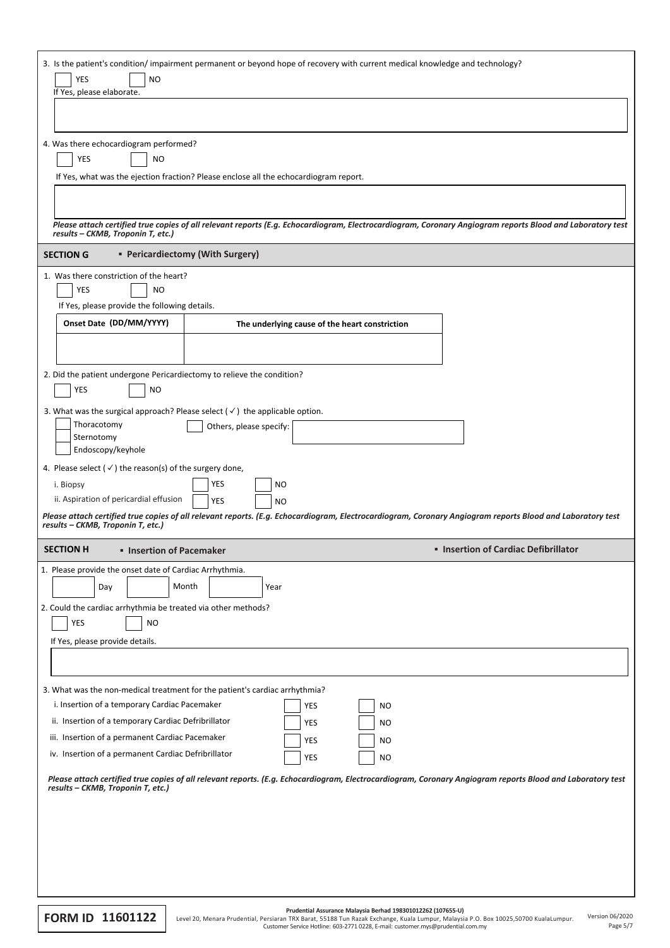| 3. Is the patient's condition/impairment permanent or beyond hope of recovery with current medical knowledge and technology?<br><b>YES</b><br><b>NO</b>                                         |                                  |                                                |                        |                                                                                                                                                            |  |
|-------------------------------------------------------------------------------------------------------------------------------------------------------------------------------------------------|----------------------------------|------------------------------------------------|------------------------|------------------------------------------------------------------------------------------------------------------------------------------------------------|--|
| If Yes, please elaborate.                                                                                                                                                                       |                                  |                                                |                        |                                                                                                                                                            |  |
|                                                                                                                                                                                                 |                                  |                                                |                        |                                                                                                                                                            |  |
| 4. Was there echocardiogram performed?                                                                                                                                                          |                                  |                                                |                        |                                                                                                                                                            |  |
| YES<br><b>NO</b>                                                                                                                                                                                |                                  |                                                |                        |                                                                                                                                                            |  |
| If Yes, what was the ejection fraction? Please enclose all the echocardiogram report.                                                                                                           |                                  |                                                |                        |                                                                                                                                                            |  |
|                                                                                                                                                                                                 |                                  |                                                |                        |                                                                                                                                                            |  |
| results - CKMB, Troponin T, etc.)                                                                                                                                                               |                                  |                                                |                        | Please attach certified true copies of all relevant reports (E.g. Echocardiogram, Electrocardiogram, Coronary Angiogram reports Blood and Laboratory test  |  |
| <b>SECTION G</b>                                                                                                                                                                                | • Pericardiectomy (With Surgery) |                                                |                        |                                                                                                                                                            |  |
| 1. Was there constriction of the heart?<br>YES<br><b>NO</b>                                                                                                                                     |                                  |                                                |                        |                                                                                                                                                            |  |
| If Yes, please provide the following details.                                                                                                                                                   |                                  |                                                |                        |                                                                                                                                                            |  |
| Onset Date (DD/MM/YYYY)                                                                                                                                                                         |                                  | The underlying cause of the heart constriction |                        |                                                                                                                                                            |  |
|                                                                                                                                                                                                 |                                  |                                                |                        |                                                                                                                                                            |  |
|                                                                                                                                                                                                 |                                  |                                                |                        |                                                                                                                                                            |  |
| 2. Did the patient undergone Pericardiectomy to relieve the condition?<br>YES<br><b>NO</b>                                                                                                      |                                  |                                                |                        |                                                                                                                                                            |  |
| 3. What was the surgical approach? Please select $(\checkmark)$ the applicable option.                                                                                                          |                                  |                                                |                        |                                                                                                                                                            |  |
| Thoracotomy                                                                                                                                                                                     | Others, please specify:          |                                                |                        |                                                                                                                                                            |  |
| Sternotomy<br>Endoscopy/keyhole                                                                                                                                                                 |                                  |                                                |                        |                                                                                                                                                            |  |
| 4. Please select ( $\checkmark$ ) the reason(s) of the surgery done,                                                                                                                            |                                  |                                                |                        |                                                                                                                                                            |  |
| i. Biopsy                                                                                                                                                                                       | YES<br>NO                        |                                                |                        |                                                                                                                                                            |  |
| ii. Aspiration of pericardial effusion                                                                                                                                                          | YES<br><b>NO</b>                 |                                                |                        |                                                                                                                                                            |  |
| results - CKMB, Troponin T, etc.)                                                                                                                                                               |                                  |                                                |                        | Please attach certified true copies of all relevant reports. (E.g. Echocardiogram, Electrocardiogram, Coronary Angiogram reports Blood and Laboratory test |  |
| <b>SECTION H</b><br><b>E</b> Insertion of Pacemaker                                                                                                                                             |                                  |                                                |                        | • Insertion of Cardiac Defibrillator                                                                                                                       |  |
| 1. Please provide the onset date of Cardiac Arrhythmia.                                                                                                                                         |                                  |                                                |                        |                                                                                                                                                            |  |
| Day                                                                                                                                                                                             | Month<br>Year                    |                                                |                        |                                                                                                                                                            |  |
| 2. Could the cardiac arrhythmia be treated via other methods?<br>YES<br><b>NO</b>                                                                                                               |                                  |                                                |                        |                                                                                                                                                            |  |
| If Yes, please provide details.                                                                                                                                                                 |                                  |                                                |                        |                                                                                                                                                            |  |
|                                                                                                                                                                                                 |                                  |                                                |                        |                                                                                                                                                            |  |
|                                                                                                                                                                                                 |                                  |                                                |                        |                                                                                                                                                            |  |
| 3. What was the non-medical treatment for the patient's cardiac arrhythmia?<br>i. Insertion of a temporary Cardiac Pacemaker                                                                    |                                  |                                                |                        |                                                                                                                                                            |  |
| ii. Insertion of a temporary Cardiac Defribrillator                                                                                                                                             |                                  | <b>YES</b><br>YES                              | <b>NO</b><br><b>NO</b> |                                                                                                                                                            |  |
| iii. Insertion of a permanent Cardiac Pacemaker                                                                                                                                                 |                                  | <b>YES</b>                                     | <b>NO</b>              |                                                                                                                                                            |  |
| iv. Insertion of a permanent Cardiac Defribrillator                                                                                                                                             |                                  | <b>YES</b>                                     | <b>NO</b>              |                                                                                                                                                            |  |
| Please attach certified true copies of all relevant reports. (E.g. Echocardiogram, Electrocardiogram, Coronary Angiogram reports Blood and Laboratory test<br>results - CKMB, Troponin T, etc.) |                                  |                                                |                        |                                                                                                                                                            |  |
|                                                                                                                                                                                                 |                                  |                                                |                        |                                                                                                                                                            |  |
|                                                                                                                                                                                                 |                                  |                                                |                        |                                                                                                                                                            |  |
|                                                                                                                                                                                                 |                                  |                                                |                        |                                                                                                                                                            |  |
|                                                                                                                                                                                                 |                                  |                                                |                        |                                                                                                                                                            |  |
|                                                                                                                                                                                                 |                                  |                                                |                        |                                                                                                                                                            |  |
|                                                                                                                                                                                                 |                                  |                                                |                        |                                                                                                                                                            |  |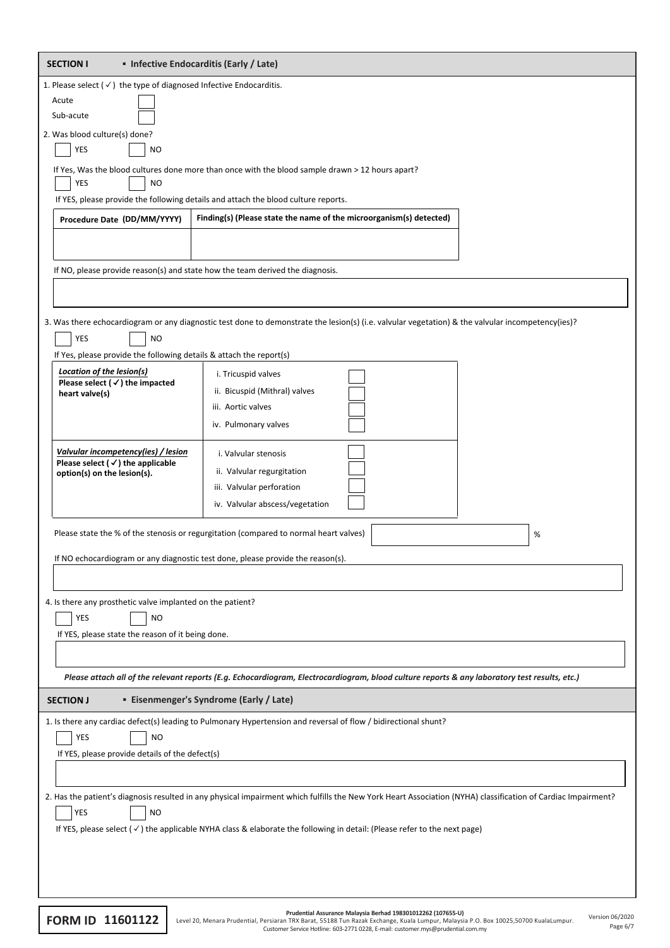| • Infective Endocarditis (Early / Late)<br><b>SECTION I</b>                                                                         |                                                                                                                                                               |   |  |  |  |  |
|-------------------------------------------------------------------------------------------------------------------------------------|---------------------------------------------------------------------------------------------------------------------------------------------------------------|---|--|--|--|--|
| 1. Please select $(\checkmark)$ the type of diagnosed Infective Endocarditis.                                                       |                                                                                                                                                               |   |  |  |  |  |
| Acute                                                                                                                               |                                                                                                                                                               |   |  |  |  |  |
| Sub-acute                                                                                                                           |                                                                                                                                                               |   |  |  |  |  |
| 2. Was blood culture(s) done?                                                                                                       |                                                                                                                                                               |   |  |  |  |  |
| YES<br><b>NO</b>                                                                                                                    |                                                                                                                                                               |   |  |  |  |  |
| YES<br><b>NO</b>                                                                                                                    | If Yes, Was the blood cultures done more than once with the blood sample drawn > 12 hours apart?                                                              |   |  |  |  |  |
|                                                                                                                                     | If YES, please provide the following details and attach the blood culture reports.                                                                            |   |  |  |  |  |
| Procedure Date (DD/MM/YYYY)                                                                                                         | Finding(s) (Please state the name of the microorganism(s) detected)                                                                                           |   |  |  |  |  |
|                                                                                                                                     |                                                                                                                                                               |   |  |  |  |  |
|                                                                                                                                     |                                                                                                                                                               |   |  |  |  |  |
|                                                                                                                                     | If NO, please provide reason(s) and state how the team derived the diagnosis.                                                                                 |   |  |  |  |  |
|                                                                                                                                     |                                                                                                                                                               |   |  |  |  |  |
|                                                                                                                                     |                                                                                                                                                               |   |  |  |  |  |
| YES<br><b>NO</b>                                                                                                                    | 3. Was there echocardiogram or any diagnostic test done to demonstrate the lesion(s) (i.e. valvular vegetation) & the valvular incompetency(ies)?             |   |  |  |  |  |
| If Yes, please provide the following details & attach the report(s)                                                                 |                                                                                                                                                               |   |  |  |  |  |
| <b>Location of the lesion(s)</b>                                                                                                    | i. Tricuspid valves                                                                                                                                           |   |  |  |  |  |
| Please select ( $\checkmark$ ) the impacted<br>heart valve(s)                                                                       | ii. Bicuspid (Mithral) valves                                                                                                                                 |   |  |  |  |  |
|                                                                                                                                     | iii. Aortic valves                                                                                                                                            |   |  |  |  |  |
|                                                                                                                                     | iv. Pulmonary valves                                                                                                                                          |   |  |  |  |  |
|                                                                                                                                     |                                                                                                                                                               |   |  |  |  |  |
| Valvular incompetency(ies) / lesion<br>Please select $(\checkmark)$ the applicable                                                  | i. Valvular stenosis                                                                                                                                          |   |  |  |  |  |
| option(s) on the lesion(s).                                                                                                         | ii. Valvular regurgitation                                                                                                                                    |   |  |  |  |  |
|                                                                                                                                     | iii. Valvular perforation                                                                                                                                     |   |  |  |  |  |
|                                                                                                                                     | iv. Valvular abscess/vegetation                                                                                                                               |   |  |  |  |  |
|                                                                                                                                     | Please state the % of the stenosis or regurgitation (compared to normal heart valves)                                                                         | % |  |  |  |  |
|                                                                                                                                     |                                                                                                                                                               |   |  |  |  |  |
|                                                                                                                                     | If NO echocardiogram or any diagnostic test done, please provide the reason(s).                                                                               |   |  |  |  |  |
|                                                                                                                                     |                                                                                                                                                               |   |  |  |  |  |
| 4. Is there any prosthetic valve implanted on the patient?                                                                          |                                                                                                                                                               |   |  |  |  |  |
| YES<br><b>NO</b>                                                                                                                    |                                                                                                                                                               |   |  |  |  |  |
| If YES, please state the reason of it being done.                                                                                   |                                                                                                                                                               |   |  |  |  |  |
|                                                                                                                                     |                                                                                                                                                               |   |  |  |  |  |
|                                                                                                                                     | Please attach all of the relevant reports (E.g. Echocardiogram, Electrocardiogram, blood culture reports & any laboratory test results, etc.)                 |   |  |  |  |  |
| <b>Eisenmenger's Syndrome (Early / Late)</b>                                                                                        |                                                                                                                                                               |   |  |  |  |  |
| <b>SECTION J</b>                                                                                                                    |                                                                                                                                                               |   |  |  |  |  |
|                                                                                                                                     | 1. Is there any cardiac defect(s) leading to Pulmonary Hypertension and reversal of flow / bidirectional shunt?                                               |   |  |  |  |  |
| YES<br>NO                                                                                                                           |                                                                                                                                                               |   |  |  |  |  |
| If YES, please provide details of the defect(s)                                                                                     |                                                                                                                                                               |   |  |  |  |  |
|                                                                                                                                     |                                                                                                                                                               |   |  |  |  |  |
|                                                                                                                                     | 2. Has the patient's diagnosis resulted in any physical impairment which fulfills the New York Heart Association (NYHA) classification of Cardiac Impairment? |   |  |  |  |  |
| YES<br><b>NO</b>                                                                                                                    |                                                                                                                                                               |   |  |  |  |  |
| If YES, please select $(\checkmark)$ the applicable NYHA class & elaborate the following in detail: (Please refer to the next page) |                                                                                                                                                               |   |  |  |  |  |
|                                                                                                                                     |                                                                                                                                                               |   |  |  |  |  |
|                                                                                                                                     |                                                                                                                                                               |   |  |  |  |  |
|                                                                                                                                     |                                                                                                                                                               |   |  |  |  |  |
|                                                                                                                                     |                                                                                                                                                               |   |  |  |  |  |

|                         | Prudential Assurance Malaysia Berhad 198301012262 (107655-U)                                                                         |                 |  |  |  |
|-------------------------|--------------------------------------------------------------------------------------------------------------------------------------|-----------------|--|--|--|
| <b>FORM ID 11601122</b> | Level 20, Menara Prudential, Persiaran TRX Barat, 55188 Tun Razak Exchange, Kuala Lumpur, Malaysia P.O. Box 10025,50700 KualaLumpur. | Version 06/2020 |  |  |  |
|                         | Customer Service Hotline: 603-2771 0228, E-mail: customer.mys@prudential.com.my                                                      | Page 6/7        |  |  |  |